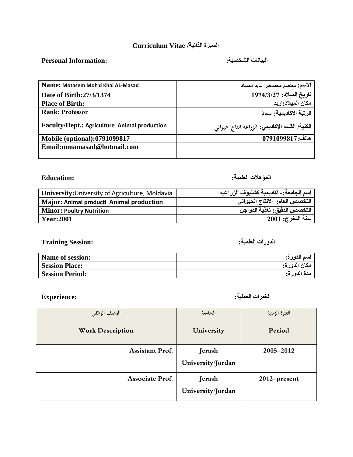### **السيزة الذاتيت/ Vitae Curriculum**

## **البياًاث الشخصيت: :Information Personal**

| Name: Motasem Moh'd Khai AL-Masad            | الاسم: معتصم محمدخير. عايد المساد             |
|----------------------------------------------|-----------------------------------------------|
| Date of Birth: 27/3/1374                     | تاريخ الميلاد: 1974/3/27                      |
| <b>Place of Birth:</b>                       | مكان الميلاد اربد                             |
| <b>Rank: Professor</b>                       | الرتبة الاكاديمية: ستاذ                       |
| Faculty/Dept.: Agriculture Animal production | الكلية/ القسم الاكاديمي: الزراعه انتاج حيواني |
| <b>Mobile (optional):0791099817</b>          | هاتف:0791099817                               |
| Email: mmamasad@hotmail.com                  |                                               |

### **الوؤهالث العلويت: :Education**

| University: University of Agriculture, Moldavia | اسم الجامعة: ـ اكاديمية كشنيوف الزراعيه |
|-------------------------------------------------|-----------------------------------------|
| Major: Animal producti Animal production        | التخصص العام: الانتاج الحيواني          |
| <b>Minor: Poultry Nutrition</b>                 | التخصص الدقيق: تغذية الدواجن            |
| <b>Year:2001</b>                                | سنة التخرج: 2001                        |

### **الذوراث العلويت: :Session Training**

| <b>Name of session:</b> | اسم الدورة:  |
|-------------------------|--------------|
| <b>Session Place:</b>   | مكان الدورة: |
| <b>Session Period:</b>  | مدة الدورة:  |

**الخبزاث العوليت: :Experience**

| الوصف الوظفى            | الجامعة                     | الفترة الزمنية |
|-------------------------|-----------------------------|----------------|
| <b>Work Description</b> | University                  | Period         |
| <b>Assistant Prof.</b>  | Jerash<br>University/Jordan | 2005-2012      |
| <b>Associate Prof.</b>  | Jerash<br>University/Jordan | 2012-present   |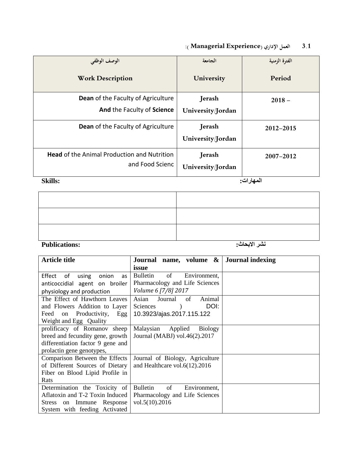# **1.3 العمل اإلداري )Experience Managerial) :**

|                                                                       | الجامعة                     | الفترة الزمنية |
|-----------------------------------------------------------------------|-----------------------------|----------------|
| الوصف الوظفى<br><b>Work Description</b>                               | University                  | Period         |
| <b>Dean</b> of the Faculty of Agriculture                             | Jerash                      | $2018 -$       |
| And the Faculty of Science                                            | University/Jordan           |                |
| Dean of the Faculty of Agriculture                                    | Jerash<br>University/Jordan | 2012-2015      |
|                                                                       |                             |                |
| <b>Head of the Animal Production and Nutrition</b><br>and Food Scienc | Jerash<br>University/Jordan | 2007-2012      |

**الوهاراث: :Skills**

| <b>Publications:</b> | نشر الابحاث: |
|----------------------|--------------|

| <b>Article title</b>              | Journal name, volume $\&$ Journal indexing |  |
|-----------------------------------|--------------------------------------------|--|
|                                   | issue                                      |  |
| Effect<br>of<br>using onion<br>as | of<br>Bulletin<br>Environment,             |  |
| anticoccidial agent on broiler    | Pharmacology and Life Sciences             |  |
| physiology and production         | Volume 6 [7/8] 2017                        |  |
| The Effect of Hawthorn Leaves     | Asian<br>Journal<br>of<br>Animal           |  |
| and Flowers Addition to Layer     | DOI:<br>Sciences                           |  |
| Feed on Productivity,<br>Egg      | 10.3923/ajas.2017.115.122                  |  |
| Weight and Egg Quality            |                                            |  |
| prolificacy of Romanov sheep      | Malaysian<br>Applied<br><b>Biology</b>     |  |
| breed and fecundity gene, growth  | Journal (MABJ) vol.46(2).2017              |  |
| differentiation factor 9 gene and |                                            |  |
| prolactin gene genotypes,         |                                            |  |
| Comparison Between the Effects    | Journal of Biology, Agriculture            |  |
| of Different Sources of Dietary   | and Healthcare vol. $6(12)$ , 2016         |  |
| Fiber on Blood Lipid Profile in   |                                            |  |
| Rats                              |                                            |  |
| Determination the Toxicity of     | <b>Bulletin</b><br>of<br>Environment,      |  |
| Aflatoxin and T-2 Toxin Induced   | Pharmacology and Life Sciences             |  |
| Stress on Immune Response         | vol.5(10).2016                             |  |
| System with feeding Activated     |                                            |  |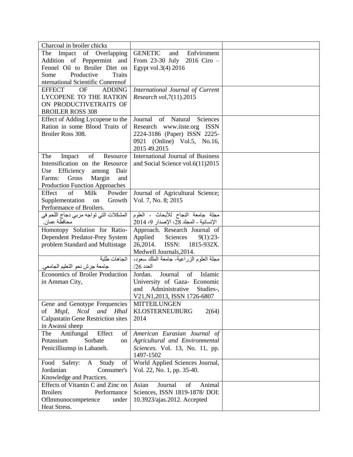| Charcoal in broiler chicks                     |                                           |  |
|------------------------------------------------|-------------------------------------------|--|
| The Impact of Overlapping                      | <b>GENETIC</b><br>Enfviroment<br>and      |  |
| Addition of Peppermint and                     | From 23-30 July 2016 Ciro -               |  |
| Fennel Oil to Broiler Diet on                  | Egypt vol.3(4) 2016                       |  |
| Productive<br><b>Traits</b><br>Some            |                                           |  |
| nternational Scientific Conerenof              |                                           |  |
| <b>EFFECT</b><br>OF<br><b>ADDING</b>           | International Journal of Current          |  |
| LYCOPENE TO THE RATION                         | Research vol, 7(11).2015                  |  |
| ON PRODUCTIVETRAITS OF                         |                                           |  |
| <b>BROILER ROSS 308</b>                        |                                           |  |
| Effect of Adding Lycopene to the               | Journal of Natural<br>Sciences            |  |
| Ration in some Blood Traits of                 | Research www.iiste.org ISSN               |  |
| Broiler Ross 308.                              | 2224-3186 (Paper) ISSN 2225-              |  |
|                                                | 0921 (Online) Vol.5, No.16,               |  |
|                                                | 2015 49.2015                              |  |
| Resource<br>The<br>Impact<br>of                | International Journal of Business         |  |
| Intensification on the Resource                | and Social Science vol.6(11)2015          |  |
| Use Efficiency<br>among<br>Dair                |                                           |  |
| Gross<br>Margin<br>Farms:<br>and               |                                           |  |
| Production Function Approaches                 |                                           |  |
| of<br>Effect<br>Milk<br>Powder                 | Journal of Agricultural Science;          |  |
| Supplementation<br>Growth<br>on                | Vol. 7, No. 8; 2015                       |  |
| Performance of Broilers.                       |                                           |  |
| المشكلات التي تواجه مربي دجاج اللحم في         | مجلة جامعة النجاح للأبحاث - العلوم        |  |
| محافظة عمان.                                   | الإنسانية ـ المجلد 28، الإصدار 9، 2014    |  |
| Homotopy Solution for Ratio-                   | Approach. Research Journal of             |  |
| Dependent Predator-Prey System                 | Applied Sciences<br>$9(1):23-$            |  |
| problem Standard and Multistage                | 26,2014. ISSN: 1815-932X.                 |  |
|                                                | Medwell Journals, 2014.                   |  |
| اتجاهات طلبة                                   | مجلَّة العلوم الزراعية- جامعة الملك سعود، |  |
| جامعة جرش نحو التعليم الجامعي.                 | $/26$ العدد                               |  |
| Economics of Broiler Production                | Jordan.<br>Journal<br>of<br>Islamic       |  |
| in Amman City,                                 | University of Gaza- Economic              |  |
|                                                | Administrative<br>Studies-,<br>and        |  |
|                                                | V21, N1, 2013, ISSN 1726-6807             |  |
| Gene and Genotype Frequencies                  | <b>MITTEILUNGEN</b>                       |  |
| NcoI<br>and<br><b>HhaI</b><br>$MspI$ ,<br>οf   | <b>KLOSTERNEUBURG</b><br>2(64)            |  |
| <b>Calpastatin Gene Restriction sites</b>      | 2014                                      |  |
| in Awassi sheep                                |                                           |  |
| Antifungal<br>Effect<br>The<br>οf              | American Eurasian Journal of              |  |
| Potassium<br>Sorbate<br>on                     | Agricultural and Environmental            |  |
| Penicilliumsp in Labaneh.                      | Sciences. Vol. 13, No. 11, pp.            |  |
|                                                | 1497-1502                                 |  |
| Food<br>Safety:<br>Study<br>$\mathbf{A}$<br>of | World Applied Sciences Journal,           |  |
| Jordanian<br>Consumer's                        | Vol. 22, No. 1, pp. 35-40.                |  |
| Knowledge and Practices.                       |                                           |  |
| Effects of Vitamin C and Zinc on               | Journal<br>Asian<br>Animal<br>of          |  |
| <b>Broilers</b><br>Performance                 | Sciences, ISSN 1819-1878/ DOI:            |  |
| OfImmunocompetence<br>under                    | 10.3923/ajas.2012. Accepted               |  |
| Heat Stress.                                   |                                           |  |